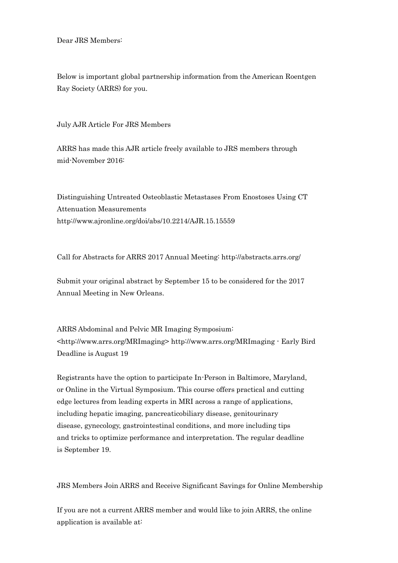Dear JRS Members:

Below is important global partnership information from the American Roentgen Ray Society (ARRS) for you.

July AJR Article For JRS Members

ARRS has made this AJR article freely available to JRS members through mid-November 2016:

Distinguishing Untreated Osteoblastic Metastases From Enostoses Using CT Attenuation Measurements http://www.ajronline.org/doi/abs/10.2214/AJR.15.15559

Call for Abstracts for ARRS 2017 Annual Meeting: http://abstracts.arrs.org/

Submit your original abstract by September 15 to be considered for the 2017 Annual Meeting in New Orleans.

ARRS Abdominal and Pelvic MR Imaging Symposium: <http://www.arrs.org/MRImaging> http://www.arrs.org/MRImaging - Early Bird Deadline is August 19

Registrants have the option to participate In-Person in Baltimore, Maryland, or Online in the Virtual Symposium. This course offers practical and cutting edge lectures from leading experts in MRI across a range of applications, including hepatic imaging, pancreaticobiliary disease, genitourinary disease, gynecology, gastrointestinal conditions, and more including tips and tricks to optimize performance and interpretation. The regular deadline is September 19.

JRS Members Join ARRS and Receive Significant Savings for Online Membership

If you are not a current ARRS member and would like to join ARRS, the online application is available at: